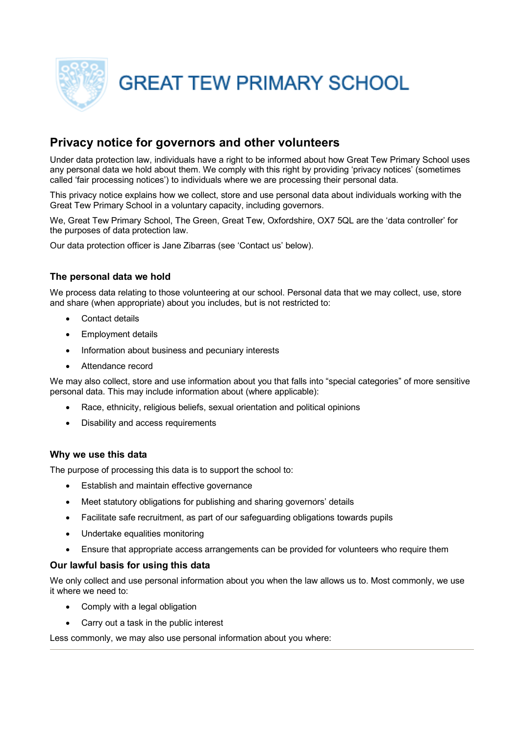

**GREAT TEW PRIMARY SCHOOL** 

# **Privacy notice for governors and other volunteers**

Under data protection law, individuals have a right to be informed about how Great Tew Primary School uses any personal data we hold about them. We comply with this right by providing 'privacy notices' (sometimes called 'fair processing notices') to individuals where we are processing their personal data.

This privacy notice explains how we collect, store and use personal data about individuals working with the Great Tew Primary School in a voluntary capacity, including governors.

We, Great Tew Primary School, The Green, Great Tew, Oxfordshire, OX7 5QL are the 'data controller' for the purposes of data protection law.

Our data protection officer is Jane Zibarras (see 'Contact us' below).

### **The personal data we hold**

We process data relating to those volunteering at our school. Personal data that we may collect, use, store and share (when appropriate) about you includes, but is not restricted to:

- Contact details
- Employment details
- Information about business and pecuniary interests
- Attendance record

We may also collect, store and use information about you that falls into "special categories" of more sensitive personal data. This may include information about (where applicable):

- Race, ethnicity, religious beliefs, sexual orientation and political opinions
- Disability and access requirements

#### **Why we use this data**

The purpose of processing this data is to support the school to:

- Establish and maintain effective governance
- Meet statutory obligations for publishing and sharing governors' details
- Facilitate safe recruitment, as part of our safeguarding obligations towards pupils
- Undertake equalities monitoring
- Ensure that appropriate access arrangements can be provided for volunteers who require them

#### **Our lawful basis for using this data**

We only collect and use personal information about you when the law allows us to. Most commonly, we use it where we need to:

- Comply with a legal obligation
- Carry out a task in the public interest

Less commonly, we may also use personal information about you where: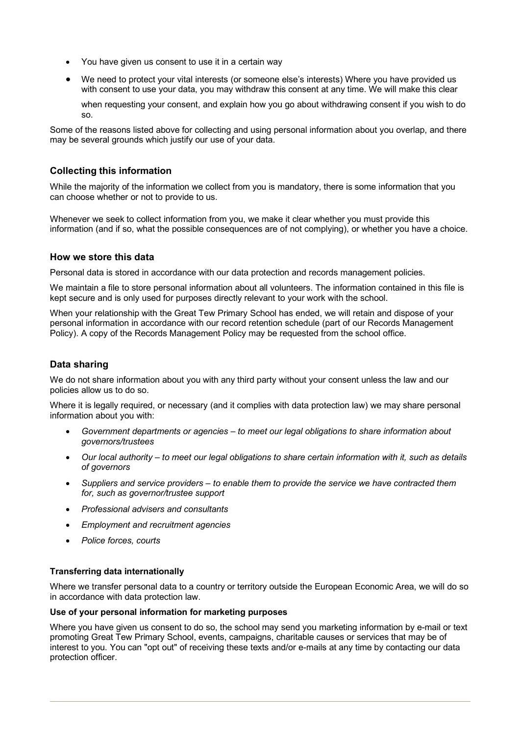- You have given us consent to use it in a certain way
- We need to protect your vital interests (or someone else's interests) Where you have provided us with consent to use your data, you may withdraw this consent at any time. We will make this clear

when requesting your consent, and explain how you go about withdrawing consent if you wish to do so.

Some of the reasons listed above for collecting and using personal information about you overlap, and there may be several grounds which justify our use of your data.

#### **Collecting this information**

While the majority of the information we collect from you is mandatory, there is some information that you can choose whether or not to provide to us.

Whenever we seek to collect information from you, we make it clear whether you must provide this information (and if so, what the possible consequences are of not complying), or whether you have a choice.

#### **How we store this data**

Personal data is stored in accordance with our data protection and records management policies.

We maintain a file to store personal information about all volunteers. The information contained in this file is kept secure and is only used for purposes directly relevant to your work with the school.

When your relationship with the Great Tew Primary School has ended, we will retain and dispose of your personal information in accordance with our record retention schedule (part of our Records Management Policy). A copy of the Records Management Policy may be requested from the school office.

#### **Data sharing**

We do not share information about you with any third party without your consent unless the law and our policies allow us to do so.

Where it is legally required, or necessary (and it complies with data protection law) we may share personal information about you with:

- *Government departments or agencies – to meet our legal obligations to share information about governors/trustees*
- *Our local authority – to meet our legal obligations to share certain information with it, such as details of governors*
- *Suppliers and service providers – to enable them to provide the service we have contracted them for, such as governor/trustee support*
- *Professional advisers and consultants*
- *Employment and recruitment agencies*
- *Police forces, courts*

#### **Transferring data internationally**

Where we transfer personal data to a country or territory outside the European Economic Area, we will do so in accordance with data protection law.

#### **Use of your personal information for marketing purposes**

Where you have given us consent to do so, the school may send you marketing information by e-mail or text promoting Great Tew Primary School, events, campaigns, charitable causes or services that may be of interest to you. You can "opt out" of receiving these texts and/or e-mails at any time by contacting our data protection officer.